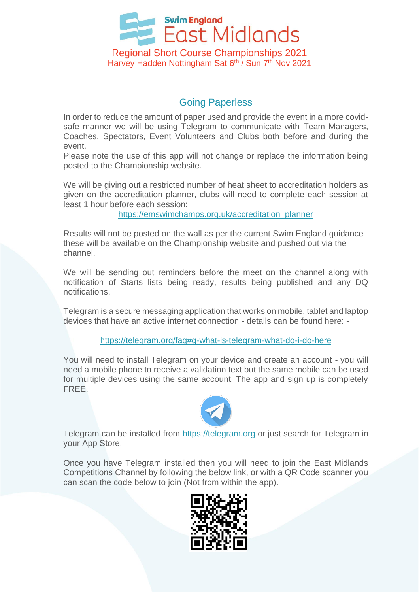

## Going Paperless

In order to reduce the amount of paper used and provide the event in a more covidsafe manner we will be using Telegram to communicate with Team Managers, Coaches, Spectators, Event Volunteers and Clubs both before and during the event.

Please note the use of this app will not change or replace the information being posted to the Championship website.

We will be giving out a restricted number of heat sheet to accreditation holders as given on the accreditation planner, clubs will need to complete each session at least 1 hour before each session:

[https://emswimchamps.org.uk/accreditation\\_planner](https://protect-eu.mimecast.com/s/Qy-xCNYAGsKkX7fmLZUx?domain=emswimchamps.org.uk)

Results will not be posted on the wall as per the current Swim England guidance these will be available on the Championship website and pushed out via the channel.

We will be sending out reminders before the meet on the channel along with notification of Starts lists being ready, results being published and any DQ notifications.

Telegram is a secure messaging application that works on mobile, tablet and laptop devices that have an active internet connection - details can be found here: -

<https://telegram.org/faq#q-what-is-telegram-what-do-i-do-here>

You will need to install Telegram on your device and create an account - you will need a mobile phone to receive a validation text but the same mobile can be used for multiple devices using the same account. The app and sign up is completely FREE.



Telegram can be installed from [https://telegram.org](https://telegram.org/) or just search for Telegram in your App Store.

Once you have Telegram installed then you will need to join the East Midlands Competitions Channel by following the below link, or with a QR Code scanner you can scan the code below to join (Not from within the app).